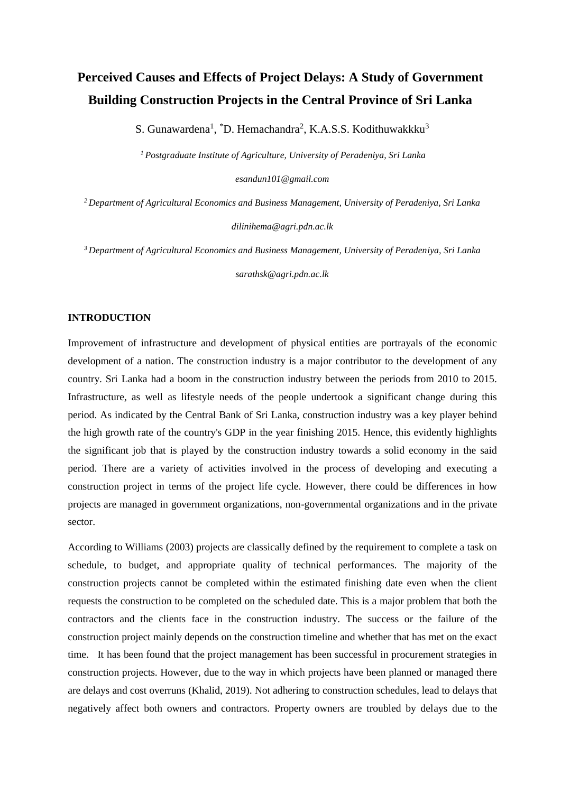# **Perceived Causes and Effects of Project Delays: A Study of Government Building Construction Projects in the Central Province of Sri Lanka**

S. Gunawardena<sup>1</sup>, <sup>\*</sup>D. Hemachandra<sup>2</sup>, K.A.S.S. Kodithuwakkku<sup>3</sup>

*<sup>1</sup>Postgraduate Institute of Agriculture, University of Peradeniya, Sri Lanka* 

*esandun101@gmail.com*

*<sup>2</sup>Department of Agricultural Economics and Business Management, University of Peradeniya, Sri Lanka* 

*dilinihema@agri.pdn.ac.lk*

*<sup>3</sup>Department of Agricultural Economics and Business Management, University of Peradeniya, Sri Lanka* 

*sarathsk@agri.pdn.ac.lk*

#### **INTRODUCTION**

Improvement of infrastructure and development of physical entities are portrayals of the economic development of a nation. The construction industry is a major contributor to the development of any country. Sri Lanka had a boom in the construction industry between the periods from 2010 to 2015. Infrastructure, as well as lifestyle needs of the people undertook a significant change during this period. As indicated by the Central Bank of Sri Lanka, construction industry was a key player behind the high growth rate of the country's GDP in the year finishing 2015. Hence, this evidently highlights the significant job that is played by the construction industry towards a solid economy in the said period. There are a variety of activities involved in the process of developing and executing a construction project in terms of the project life cycle. However, there could be differences in how projects are managed in government organizations, non-governmental organizations and in the private sector.

According to Williams (2003) projects are classically defined by the requirement to complete a task on schedule, to budget, and appropriate quality of technical performances. The majority of the construction projects cannot be completed within the estimated finishing date even when the client requests the construction to be completed on the scheduled date. This is a major problem that both the contractors and the clients face in the construction industry. The success or the failure of the construction project mainly depends on the construction timeline and whether that has met on the exact time. It has been found that the project management has been successful in procurement strategies in construction projects. However, due to the way in which projects have been planned or managed there are delays and cost overruns (Khalid, 2019). Not adhering to construction schedules, lead to delays that negatively affect both owners and contractors. Property owners are troubled by delays due to the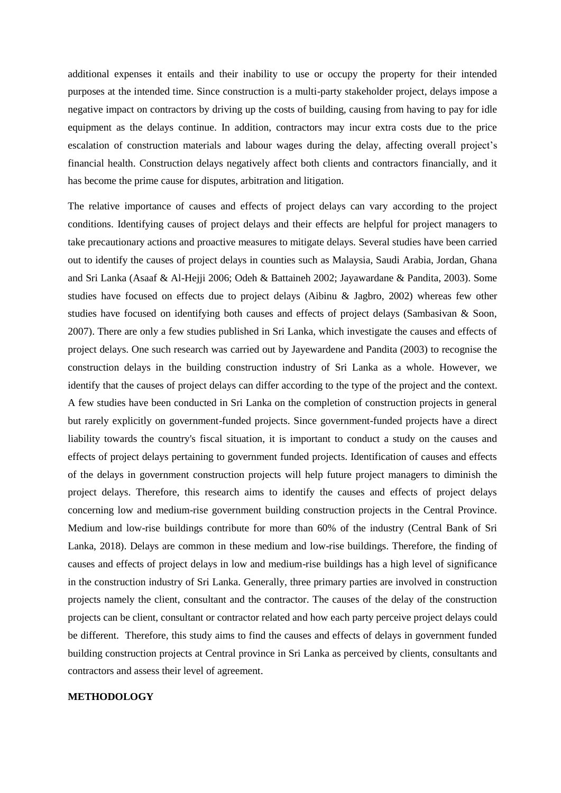additional expenses it entails and their inability to use or occupy the property for their intended purposes at the intended time. Since construction is a multi-party stakeholder project, delays impose a negative impact on contractors by driving up the costs of building, causing from having to pay for idle equipment as the delays continue. In addition, contractors may incur extra costs due to the price escalation of construction materials and labour wages during the delay, affecting overall project's financial health. Construction delays negatively affect both clients and contractors financially, and it has become the prime cause for disputes, arbitration and litigation.

The relative importance of causes and effects of project delays can vary according to the project conditions. Identifying causes of project delays and their effects are helpful for project managers to take precautionary actions and proactive measures to mitigate delays. Several studies have been carried out to identify the causes of project delays in counties such as Malaysia, Saudi Arabia, Jordan, Ghana and Sri Lanka (Asaaf & Al-Hejji 2006; Odeh & Battaineh 2002; Jayawardane & Pandita, 2003). Some studies have focused on effects due to project delays (Aibinu & Jagbro, 2002) whereas few other studies have focused on identifying both causes and effects of project delays (Sambasivan & Soon, 2007). There are only a few studies published in Sri Lanka, which investigate the causes and effects of project delays. One such research was carried out by Jayewardene and Pandita (2003) to recognise the construction delays in the building construction industry of Sri Lanka as a whole. However, we identify that the causes of project delays can differ according to the type of the project and the context. A few studies have been conducted in Sri Lanka on the completion of construction projects in general but rarely explicitly on government-funded projects. Since government-funded projects have a direct liability towards the country's fiscal situation, it is important to conduct a study on the causes and effects of project delays pertaining to government funded projects. Identification of causes and effects of the delays in government construction projects will help future project managers to diminish the project delays. Therefore, this research aims to identify the causes and effects of project delays concerning low and medium-rise government building construction projects in the Central Province. Medium and low-rise buildings contribute for more than 60% of the industry (Central Bank of Sri Lanka, 2018). Delays are common in these medium and low-rise buildings. Therefore, the finding of causes and effects of project delays in low and medium-rise buildings has a high level of significance in the construction industry of Sri Lanka. Generally, three primary parties are involved in construction projects namely the client, consultant and the contractor. The causes of the delay of the construction projects can be client, consultant or contractor related and how each party perceive project delays could be different. Therefore, this study aims to find the causes and effects of delays in government funded building construction projects at Central province in Sri Lanka as perceived by clients, consultants and contractors and assess their level of agreement.

## **METHODOLOGY**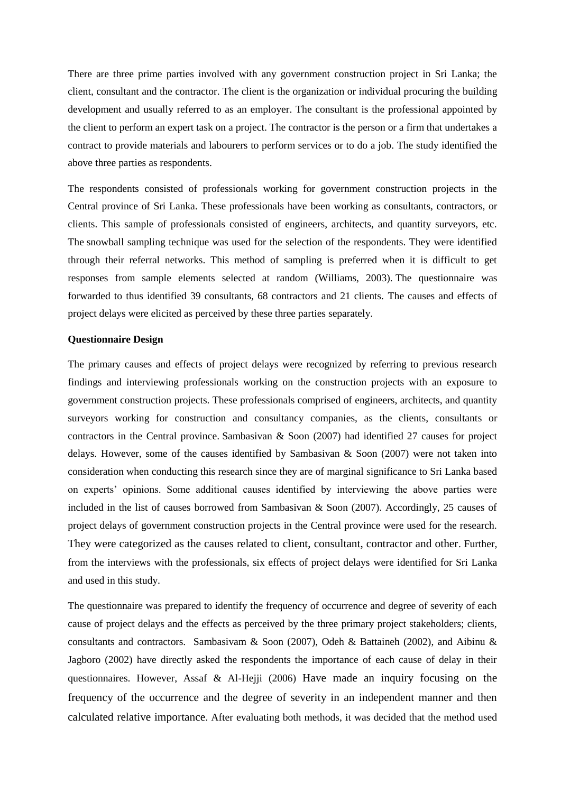There are three prime parties involved with any government construction project in Sri Lanka; the client, consultant and the contractor. The client is the organization or individual procuring the building development and usually referred to as an employer. The consultant is the professional appointed by the client to perform an expert task on a project. The contractor is the person or a firm that undertakes a contract to provide materials and labourers to perform services or to do a job. The study identified the above three parties as respondents.

The respondents consisted of professionals working for government construction projects in the Central province of Sri Lanka. These professionals have been working as consultants, contractors, or clients. This sample of professionals consisted of engineers, architects, and quantity surveyors, etc. The snowball sampling technique was used for the selection of the respondents. They were identified through their referral networks. This method of sampling is preferred when it is difficult to get responses from sample elements selected at random (Williams, 2003). The questionnaire was forwarded to thus identified 39 consultants, 68 contractors and 21 clients. The causes and effects of project delays were elicited as perceived by these three parties separately.

#### **Questionnaire Design**

The primary causes and effects of project delays were recognized by referring to previous research findings and interviewing professionals working on the construction projects with an exposure to government construction projects. These professionals comprised of engineers, architects, and quantity surveyors working for construction and consultancy companies, as the clients, consultants or contractors in the Central province. Sambasivan & Soon (2007) had identified 27 causes for project delays. However, some of the causes identified by Sambasivan & Soon (2007) were not taken into consideration when conducting this research since they are of marginal significance to Sri Lanka based on experts' opinions. Some additional causes identified by interviewing the above parties were included in the list of causes borrowed from Sambasivan & Soon (2007). Accordingly, 25 causes of project delays of government construction projects in the Central province were used for the research. They were categorized as the causes related to client, consultant, contractor and other. Further, from the interviews with the professionals, six effects of project delays were identified for Sri Lanka and used in this study.

The questionnaire was prepared to identify the frequency of occurrence and degree of severity of each cause of project delays and the effects as perceived by the three primary project stakeholders; clients, consultants and contractors. Sambasivam & Soon (2007), Odeh & Battaineh (2002), and Aibinu & Jagboro (2002) have directly asked the respondents the importance of each cause of delay in their questionnaires. However, Assaf & Al-Hejji (2006) Have made an inquiry focusing on the frequency of the occurrence and the degree of severity in an independent manner and then calculated relative importance. After evaluating both methods, it was decided that the method used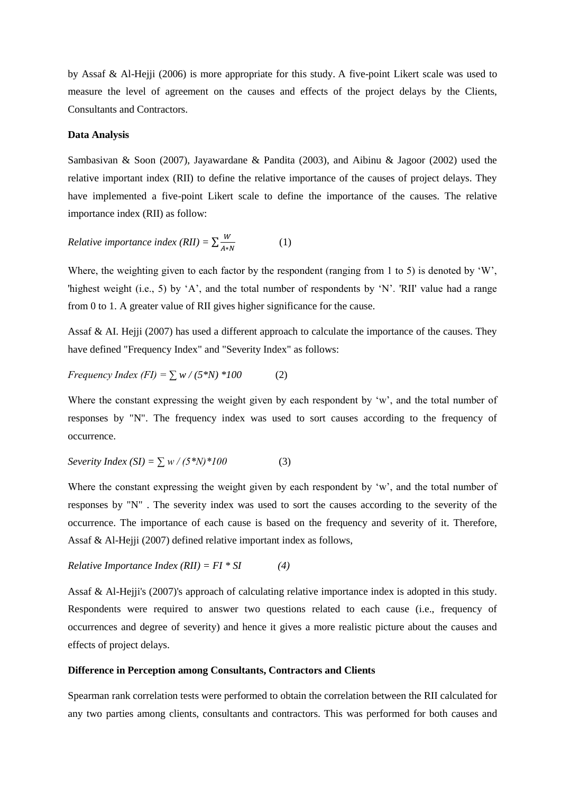by Assaf & Al-Hejji (2006) is more appropriate for this study. A five-point Likert scale was used to measure the level of agreement on the causes and effects of the project delays by the Clients, Consultants and Contractors.

#### **Data Analysis**

Sambasivan & Soon (2007), Jayawardane & Pandita (2003), and Aibinu & Jagoor (2002) used the relative important index (RII) to define the relative importance of the causes of project delays. They have implemented a five-point Likert scale to define the importance of the causes. The relative importance index (RII) as follow:

*Relative importance index (RII)* = 
$$
\sum_{A*N}^{W}
$$
 (1)

Where, the weighting given to each factor by the respondent (ranging from 1 to 5) is denoted by 'W', 'highest weight (i.e., 5) by 'A', and the total number of respondents by 'N'. 'RII' value had a range from 0 to 1. A greater value of RII gives higher significance for the cause.

Assaf & AI. Hejji (2007) has used a different approach to calculate the importance of the causes. They have defined "Frequency Index" and "Severity Index" as follows:

$$
Frequency Index (FI) = \sum w / (5*N) * 100 \tag{2}
$$

Where the constant expressing the weight given by each respondent by 'w', and the total number of responses by "N". The frequency index was used to sort causes according to the frequency of occurrence.

$$
Severity Index (SI) = \sum w / (5*N)^*100
$$
 (3)

Where the constant expressing the weight given by each respondent by 'w', and the total number of responses by "N" . The severity index was used to sort the causes according to the severity of the occurrence. The importance of each cause is based on the frequency and severity of it. Therefore, Assaf & Al-Hejji (2007) defined relative important index as follows,

*Relative Importance Index (RII) = FI \* SI (4)*

Assaf & Al-Hejji's (2007)'s approach of calculating relative importance index is adopted in this study. Respondents were required to answer two questions related to each cause (i.e., frequency of occurrences and degree of severity) and hence it gives a more realistic picture about the causes and effects of project delays.

### **Difference in Perception among Consultants, Contractors and Clients**

Spearman rank correlation tests were performed to obtain the correlation between the RII calculated for any two parties among clients, consultants and contractors. This was performed for both causes and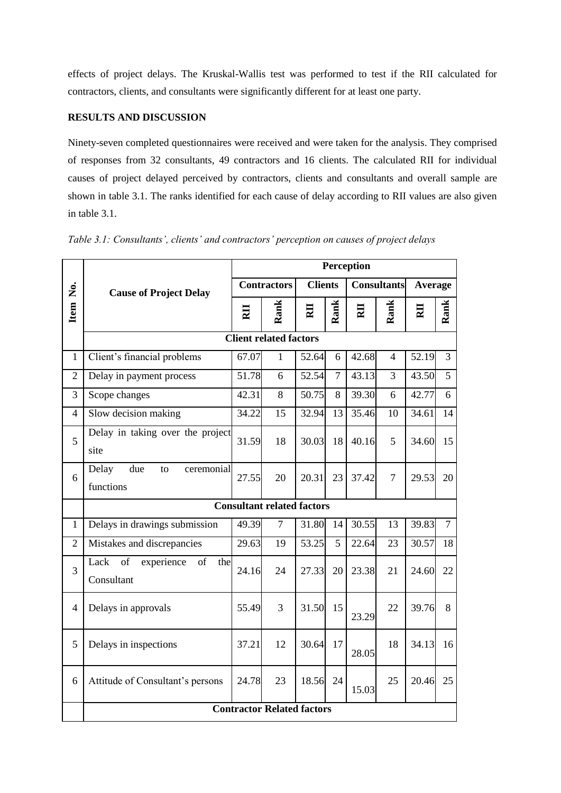effects of project delays. The Kruskal-Wallis test was performed to test if the RII calculated for contractors, clients, and consultants were significantly different for at least one party.

## **RESULTS AND DISCUSSION**

Ninety-seven completed questionnaires were received and were taken for the analysis. They comprised of responses from 32 consultants, 49 contractors and 16 clients. The calculated RII for individual causes of project delayed perceived by contractors, clients and consultants and overall sample are shown in table 3.1. The ranks identified for each cause of delay according to RII values are also given in table 3.1.

|                |                                                     | Perception              |                |                |                |                    |                |         |                |
|----------------|-----------------------------------------------------|-------------------------|----------------|----------------|----------------|--------------------|----------------|---------|----------------|
|                | <b>Cause of Project Delay</b>                       | <b>Contractors</b>      |                | <b>Clients</b> |                | <b>Consultants</b> |                | Average |                |
| Item No.       |                                                     | $\overline{\mathbf{E}}$ | Rank           | RII            | Rank           | RII                | Rank           | RII     | Rank           |
|                | <b>Client related factors</b>                       |                         |                |                |                |                    |                |         |                |
| $\mathbf{1}$   | Client's financial problems                         | 67.07                   | $\mathbf{1}$   | 52.64          | 6              | 42.68              | $\overline{4}$ | 52.19   | $\overline{3}$ |
| $\overline{2}$ | Delay in payment process                            | 51.78                   | 6              | 52.54          | $\overline{7}$ | 43.13              | 3              | 43.50   | 5              |
| 3              | Scope changes                                       | 42.31                   | 8              | 50.75          | 8              | 39.30              | 6              | 42.77   | 6              |
| $\overline{4}$ | Slow decision making                                | 34.22                   | 15             | 32.94          | 13             | 35.46              | 10             | 34.61   | 14             |
| 5              | Delay in taking over the project<br>site            | 31.59                   | 18             | 30.03          | 18             | 40.16              | 5              | 34.60   | 15             |
| 6              | Delay<br>due<br>ceremonial<br>to<br>functions       | 27.55                   | 20             | 20.31          | 23             | 37.42              | 7              | 29.53   | 20             |
|                | <b>Consultant related factors</b>                   |                         |                |                |                |                    |                |         |                |
| 1              | Delays in drawings submission                       | 49.39                   | $\overline{7}$ | 31.80          | 14             | 30.55              | 13             | 39.83   | $\overline{7}$ |
| $\overline{2}$ | Mistakes and discrepancies                          | 29.63                   | 19             | 53.25          | 5              | 22.64              | 23             | 30.57   | 18             |
| 3              | Lack<br>experience<br>of<br>of<br>the<br>Consultant | 24.16                   | 24             | 27.33          | 20             | 23.38              | 21             | 24.60   | 22             |
| 4              | Delays in approvals                                 | 55.49                   | 3              | 31.50          | 15             | 23.29              | 22             | 39.76   | 8              |
| 5              | Delays in inspections                               | 37.21                   | 12             | 30.64          | 17             | 28.05              | 18             | 34.13   | 16             |
| 6              | Attitude of Consultant's persons                    | 24.78                   | 23             | 18.56          | 24             | 15.03              | 25             | 20.46   | 25             |
|                | <b>Contractor Related factors</b>                   |                         |                |                |                |                    |                |         |                |

*Table 3.1: Consultants', clients' and contractors' perception on causes of project delays*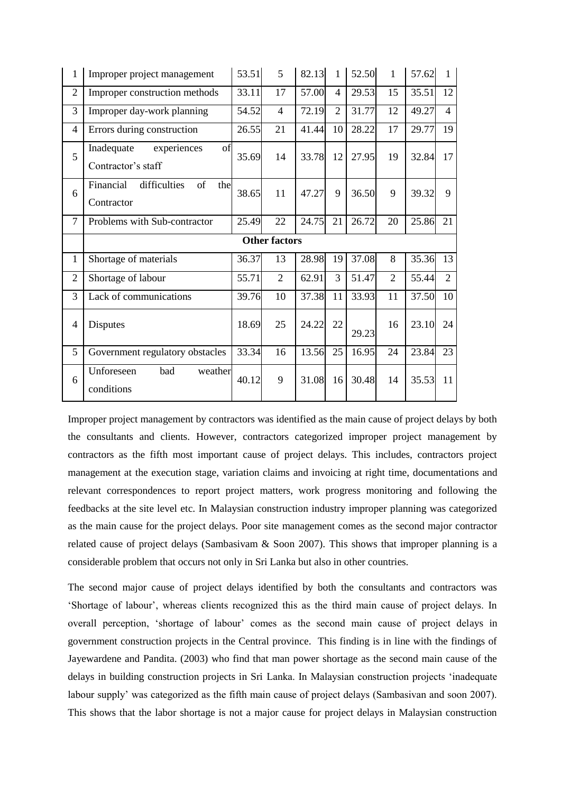| $\mathbf{1}$   | Improper project management                           | 53.51 | 5                    | 82.13 | $\mathbf{1}$   | 52.50 | $\mathbf{1}$   | 57.62 | $\mathbf{1}$   |
|----------------|-------------------------------------------------------|-------|----------------------|-------|----------------|-------|----------------|-------|----------------|
| $\overline{2}$ | Improper construction methods                         | 33.11 | 17                   | 57.00 | $\overline{4}$ | 29.53 | 15             | 35.51 | 12             |
| 3              | Improper day-work planning                            | 54.52 | $\overline{4}$       | 72.19 | $\overline{2}$ | 31.77 | 12             | 49.27 | $\overline{4}$ |
| 4              | Errors during construction                            | 26.55 | 21                   | 41.44 | 10             | 28.22 | 17             | 29.77 | 19             |
| 5              | Inadequate<br>experiences<br>of<br>Contractor's staff | 35.69 | 14                   | 33.78 | 12             | 27.95 | 19             | 32.84 | 17             |
| 6              | difficulties<br>of<br>Financial<br>the<br>Contractor  | 38.65 | 11                   | 47.27 | 9              | 36.50 | 9              | 39.32 | 9              |
| $\overline{7}$ | Problems with Sub-contractor                          | 25.49 | 22                   | 24.75 | 21             | 26.72 | 20             | 25.86 | 21             |
|                |                                                       |       |                      |       |                |       |                |       |                |
|                |                                                       |       | <b>Other factors</b> |       |                |       |                |       |                |
| 1              | Shortage of materials                                 | 36.37 | 13                   | 28.98 | 19             | 37.08 | 8              | 35.36 | 13             |
| $\overline{2}$ | Shortage of labour                                    | 55.71 | $\overline{2}$       | 62.91 | 3              | 51.47 | $\overline{2}$ | 55.44 | $\overline{2}$ |
| 3              | Lack of communications                                | 39.76 | 10                   | 37.38 | 11             | 33.93 | 11             | 37.50 | 10             |
| $\overline{4}$ | Disputes                                              | 18.69 | 25                   | 24.22 | 22             | 29.23 | 16             | 23.10 | 24             |
| 5              | Government regulatory obstacles                       | 33.34 | 16                   | 13.56 | 25             | 16.95 | 24             | 23.84 | 23             |

Improper project management by contractors was identified as the main cause of project delays by both the consultants and clients. However, contractors categorized improper project management by contractors as the fifth most important cause of project delays. This includes, contractors project management at the execution stage, variation claims and invoicing at right time, documentations and relevant correspondences to report project matters, work progress monitoring and following the feedbacks at the site level etc. In Malaysian construction industry improper planning was categorized as the main cause for the project delays. Poor site management comes as the second major contractor related cause of project delays (Sambasivam  $\&$  Soon 2007). This shows that improper planning is a considerable problem that occurs not only in Sri Lanka but also in other countries.

The second major cause of project delays identified by both the consultants and contractors was 'Shortage of labour', whereas clients recognized this as the third main cause of project delays. In overall perception, 'shortage of labour' comes as the second main cause of project delays in government construction projects in the Central province. This finding is in line with the findings of Jayewardene and Pandita. (2003) who find that man power shortage as the second main cause of the delays in building construction projects in Sri Lanka. In Malaysian construction projects 'inadequate labour supply' was categorized as the fifth main cause of project delays (Sambasivan and soon 2007). This shows that the labor shortage is not a major cause for project delays in Malaysian construction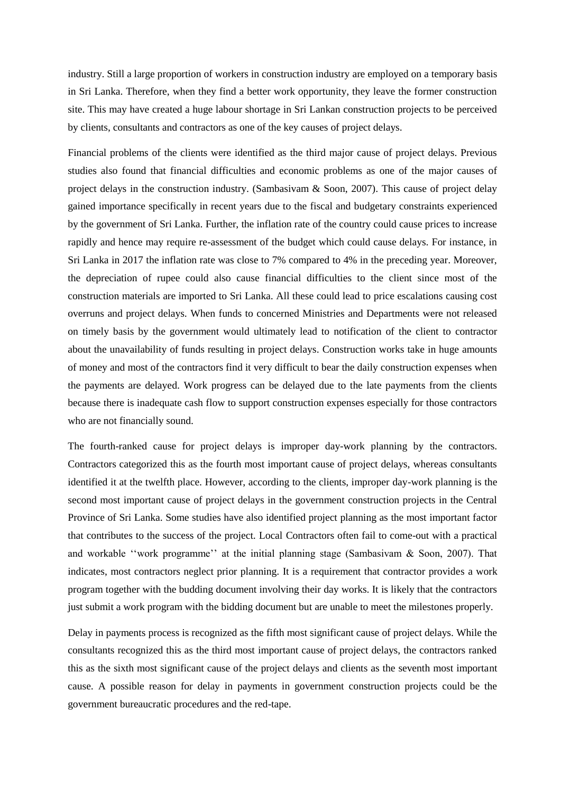industry. Still a large proportion of workers in construction industry are employed on a temporary basis in Sri Lanka. Therefore, when they find a better work opportunity, they leave the former construction site. This may have created a huge labour shortage in Sri Lankan construction projects to be perceived by clients, consultants and contractors as one of the key causes of project delays.

Financial problems of the clients were identified as the third major cause of project delays. Previous studies also found that financial difficulties and economic problems as one of the major causes of project delays in the construction industry. (Sambasivam & Soon, 2007). This cause of project delay gained importance specifically in recent years due to the fiscal and budgetary constraints experienced by the government of Sri Lanka. Further, the inflation rate of the country could cause prices to increase rapidly and hence may require re-assessment of the budget which could cause delays. For instance, in Sri Lanka in 2017 the inflation rate was close to 7% compared to 4% in the preceding year. Moreover, the depreciation of rupee could also cause financial difficulties to the client since most of the construction materials are imported to Sri Lanka. All these could lead to price escalations causing cost overruns and project delays. When funds to concerned Ministries and Departments were not released on timely basis by the government would ultimately lead to notification of the client to contractor about the unavailability of funds resulting in project delays. Construction works take in huge amounts of money and most of the contractors find it very difficult to bear the daily construction expenses when the payments are delayed. Work progress can be delayed due to the late payments from the clients because there is inadequate cash flow to support construction expenses especially for those contractors who are not financially sound.

The fourth-ranked cause for project delays is improper day-work planning by the contractors. Contractors categorized this as the fourth most important cause of project delays, whereas consultants identified it at the twelfth place. However, according to the clients, improper day-work planning is the second most important cause of project delays in the government construction projects in the Central Province of Sri Lanka. Some studies have also identified project planning as the most important factor that contributes to the success of the project. Local Contractors often fail to come-out with a practical and workable ''work programme'' at the initial planning stage (Sambasivam & Soon, 2007). That indicates, most contractors neglect prior planning. It is a requirement that contractor provides a work program together with the budding document involving their day works. It is likely that the contractors just submit a work program with the bidding document but are unable to meet the milestones properly.

Delay in payments process is recognized as the fifth most significant cause of project delays. While the consultants recognized this as the third most important cause of project delays, the contractors ranked this as the sixth most significant cause of the project delays and clients as the seventh most important cause. A possible reason for delay in payments in government construction projects could be the government bureaucratic procedures and the red-tape.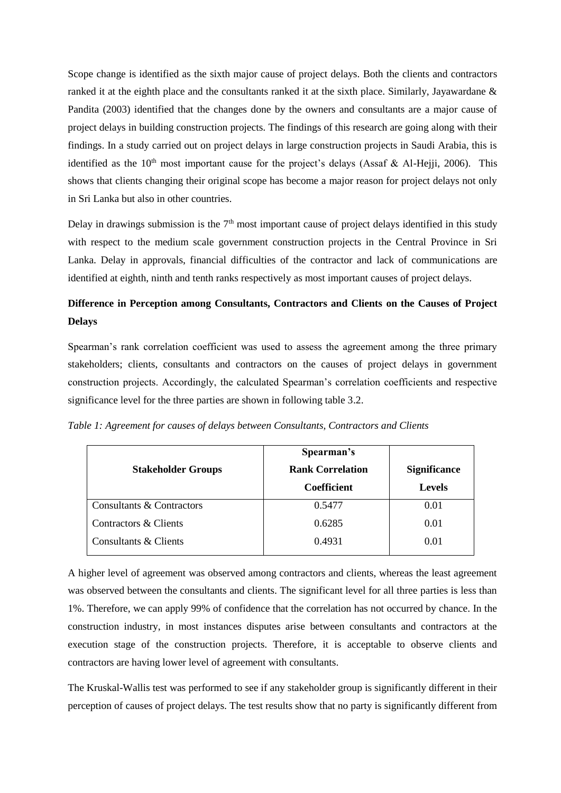Scope change is identified as the sixth major cause of project delays. Both the clients and contractors ranked it at the eighth place and the consultants ranked it at the sixth place. Similarly, Jayawardane & Pandita (2003) identified that the changes done by the owners and consultants are a major cause of project delays in building construction projects. The findings of this research are going along with their findings. In a study carried out on project delays in large construction projects in Saudi Arabia, this is identified as the 10<sup>th</sup> most important cause for the project's delays (Assaf & Al-Hejji, 2006). This shows that clients changing their original scope has become a major reason for project delays not only in Sri Lanka but also in other countries.

Delay in drawings submission is the  $7<sup>th</sup>$  most important cause of project delays identified in this study with respect to the medium scale government construction projects in the Central Province in Sri Lanka. Delay in approvals, financial difficulties of the contractor and lack of communications are identified at eighth, ninth and tenth ranks respectively as most important causes of project delays.

## **Difference in Perception among Consultants, Contractors and Clients on the Causes of Project Delays**

Spearman's rank correlation coefficient was used to assess the agreement among the three primary stakeholders; clients, consultants and contractors on the causes of project delays in government construction projects. Accordingly, the calculated Spearman's correlation coefficients and respective significance level for the three parties are shown in following table 3.2.

*Table 1: Agreement for causes of delays between Consultants, Contractors and Clients*

|                           | Spearman's              |                     |  |  |
|---------------------------|-------------------------|---------------------|--|--|
| <b>Stakeholder Groups</b> | <b>Rank Correlation</b> | <b>Significance</b> |  |  |
|                           | <b>Coefficient</b>      | <b>Levels</b>       |  |  |
| Consultants & Contractors | 0.5477                  | 0.01                |  |  |
| Contractors & Clients     | 0.6285                  | 0.01                |  |  |
| Consultants & Clients     | 0.4931                  | 0.01                |  |  |

A higher level of agreement was observed among contractors and clients, whereas the least agreement was observed between the consultants and clients. The significant level for all three parties is less than 1%. Therefore, we can apply 99% of confidence that the correlation has not occurred by chance. In the construction industry, in most instances disputes arise between consultants and contractors at the execution stage of the construction projects. Therefore, it is acceptable to observe clients and contractors are having lower level of agreement with consultants.

The Kruskal-Wallis test was performed to see if any stakeholder group is significantly different in their perception of causes of project delays. The test results show that no party is significantly different from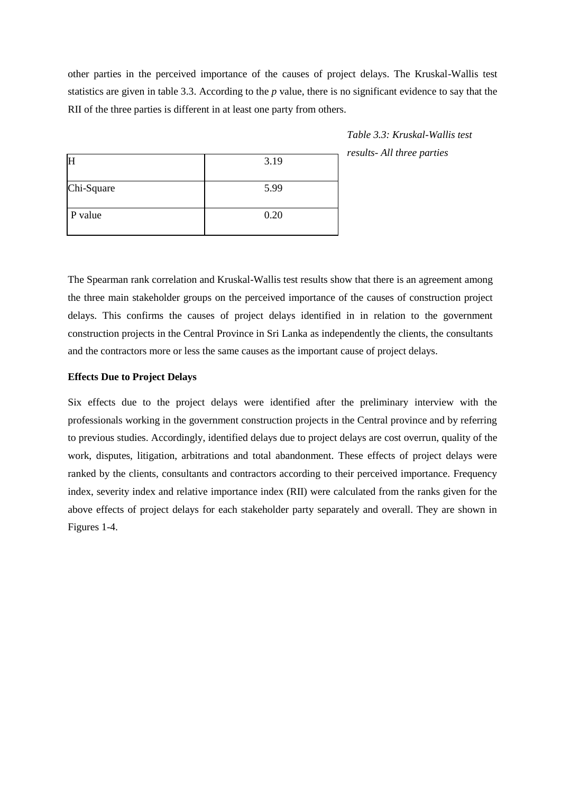other parties in the perceived importance of the causes of project delays. The Kruskal-Wallis test statistics are given in table 3.3. According to the *p* value, there is no significant evidence to say that the RII of the three parties is different in at least one party from others.

|            | 3.19 |
|------------|------|
| Chi-Square | 5.99 |
| P value    | 0.20 |

*Table 3.3: Kruskal-Wallis test results- All three parties*

The Spearman rank correlation and Kruskal-Wallis test results show that there is an agreement among the three main stakeholder groups on the perceived importance of the causes of construction project delays. This confirms the causes of project delays identified in in relation to the government construction projects in the Central Province in Sri Lanka as independently the clients, the consultants and the contractors more or less the same causes as the important cause of project delays.

### **Effects Due to Project Delays**

Six effects due to the project delays were identified after the preliminary interview with the professionals working in the government construction projects in the Central province and by referring to previous studies. Accordingly, identified delays due to project delays are cost overrun, quality of the work, disputes, litigation, arbitrations and total abandonment. These effects of project delays were ranked by the clients, consultants and contractors according to their perceived importance. Frequency index, severity index and relative importance index (RII) were calculated from the ranks given for the above effects of project delays for each stakeholder party separately and overall. They are shown in Figures 1-4.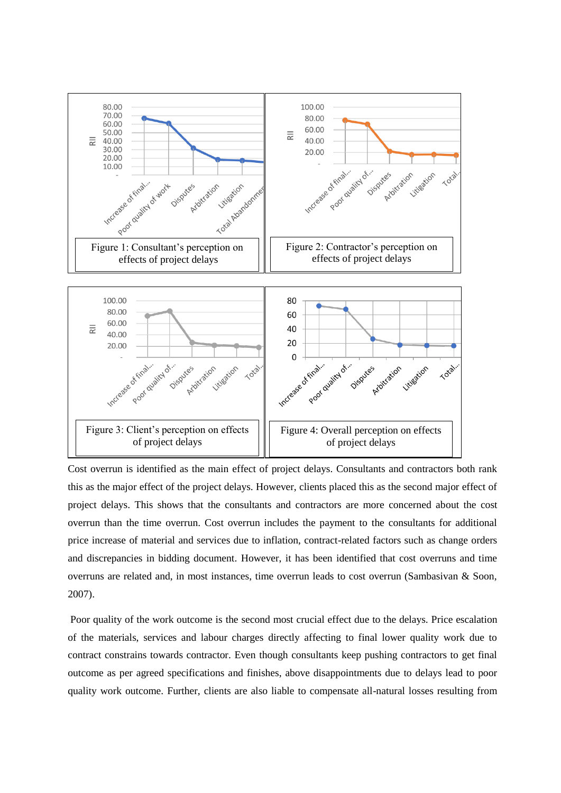

Cost overrun is identified as the main effect of project delays. Consultants and contractors both rank this as the major effect of the project delays. However, clients placed this as the second major effect of project delays. This shows that the consultants and contractors are more concerned about the cost overrun than the time overrun. Cost overrun includes the payment to the consultants for additional price increase of material and services due to inflation, contract-related factors such as change orders and discrepancies in bidding document. However, it has been identified that cost overruns and time overruns are related and, in most instances, time overrun leads to cost overrun (Sambasivan & Soon, 2007).

Poor quality of the work outcome is the second most crucial effect due to the delays. Price escalation of the materials, services and labour charges directly affecting to final lower quality work due to contract constrains towards contractor. Even though consultants keep pushing contractors to get final outcome as per agreed specifications and finishes, above disappointments due to delays lead to poor quality work outcome. Further, clients are also liable to compensate all-natural losses resulting from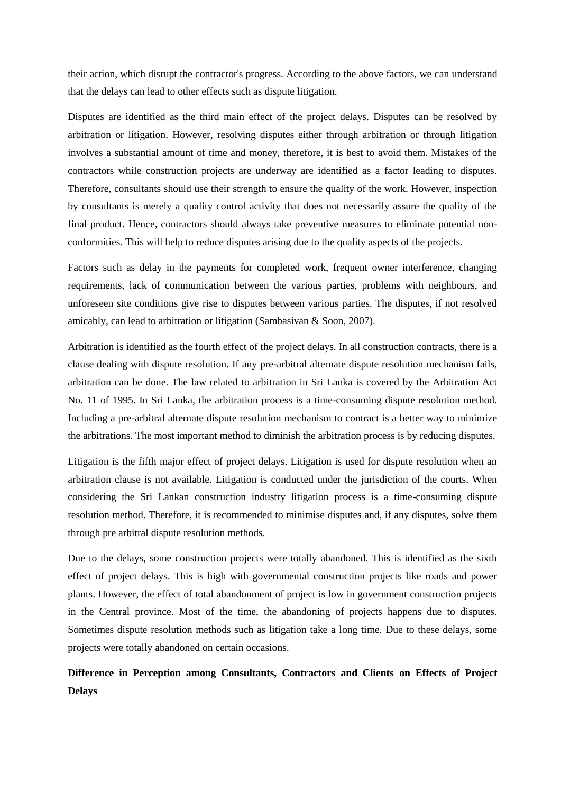their action, which disrupt the contractor's progress. According to the above factors, we can understand that the delays can lead to other effects such as dispute litigation.

Disputes are identified as the third main effect of the project delays. Disputes can be resolved by arbitration or litigation. However, resolving disputes either through arbitration or through litigation involves a substantial amount of time and money, therefore, it is best to avoid them. Mistakes of the contractors while construction projects are underway are identified as a factor leading to disputes. Therefore, consultants should use their strength to ensure the quality of the work. However, inspection by consultants is merely a quality control activity that does not necessarily assure the quality of the final product. Hence, contractors should always take preventive measures to eliminate potential nonconformities. This will help to reduce disputes arising due to the quality aspects of the projects.

Factors such as delay in the payments for completed work, frequent owner interference, changing requirements, lack of communication between the various parties, problems with neighbours, and unforeseen site conditions give rise to disputes between various parties. The disputes, if not resolved amicably, can lead to arbitration or litigation (Sambasivan & Soon, 2007).

Arbitration is identified as the fourth effect of the project delays. In all construction contracts, there is a clause dealing with dispute resolution. If any pre-arbitral alternate dispute resolution mechanism fails, arbitration can be done. The law related to arbitration in Sri Lanka is covered by the Arbitration Act No. 11 of 1995. In Sri Lanka, the arbitration process is a time-consuming dispute resolution method. Including a pre-arbitral alternate dispute resolution mechanism to contract is a better way to minimize the arbitrations. The most important method to diminish the arbitration process is by reducing disputes.

Litigation is the fifth major effect of project delays. Litigation is used for dispute resolution when an arbitration clause is not available. Litigation is conducted under the jurisdiction of the courts. When considering the Sri Lankan construction industry litigation process is a time-consuming dispute resolution method. Therefore, it is recommended to minimise disputes and, if any disputes, solve them through pre arbitral dispute resolution methods.

Due to the delays, some construction projects were totally abandoned. This is identified as the sixth effect of project delays. This is high with governmental construction projects like roads and power plants. However, the effect of total abandonment of project is low in government construction projects in the Central province. Most of the time, the abandoning of projects happens due to disputes. Sometimes dispute resolution methods such as litigation take a long time. Due to these delays, some projects were totally abandoned on certain occasions.

**Difference in Perception among Consultants, Contractors and Clients on Effects of Project Delays**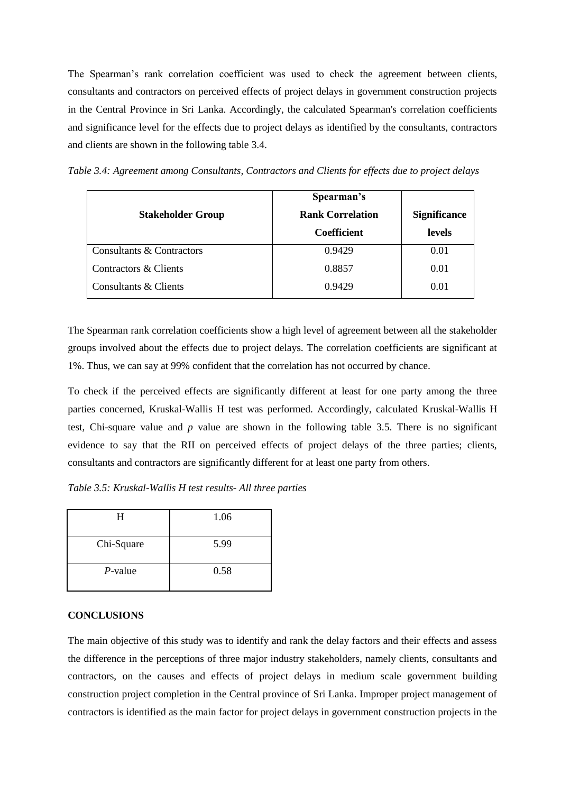The Spearman's rank correlation coefficient was used to check the agreement between clients, consultants and contractors on perceived effects of project delays in government construction projects in the Central Province in Sri Lanka. Accordingly, the calculated Spearman's correlation coefficients and significance level for the effects due to project delays as identified by the consultants, contractors and clients are shown in the following table 3.4.

*Table 3.4: Agreement among Consultants, Contractors and Clients for effects due to project delays*

| <b>Stakeholder Group</b>  | Spearman's<br><b>Rank Correlation</b><br><b>Coefficient</b> | <b>Significance</b><br>levels |
|---------------------------|-------------------------------------------------------------|-------------------------------|
| Consultants & Contractors | 0.9429                                                      | 0.01                          |
| Contractors & Clients     | 0.8857                                                      | 0.01                          |
| Consultants & Clients     | 0.9429                                                      | 0.01                          |

The Spearman rank correlation coefficients show a high level of agreement between all the stakeholder groups involved about the effects due to project delays. The correlation coefficients are significant at 1%. Thus, we can say at 99% confident that the correlation has not occurred by chance.

To check if the perceived effects are significantly different at least for one party among the three parties concerned, Kruskal-Wallis H test was performed. Accordingly, calculated Kruskal-Wallis H test, Chi-square value and *p* value are shown in the following table 3.5. There is no significant evidence to say that the RII on perceived effects of project delays of the three parties; clients, consultants and contractors are significantly different for at least one party from others.

*Table 3.5: Kruskal-Wallis H test results- All three parties*

|            | 1.06 |
|------------|------|
| Chi-Square | 5.99 |
| $P$ -value | 0.58 |

## **CONCLUSIONS**

The main objective of this study was to identify and rank the delay factors and their effects and assess the difference in the perceptions of three major industry stakeholders, namely clients, consultants and contractors, on the causes and effects of project delays in medium scale government building construction project completion in the Central province of Sri Lanka. Improper project management of contractors is identified as the main factor for project delays in government construction projects in the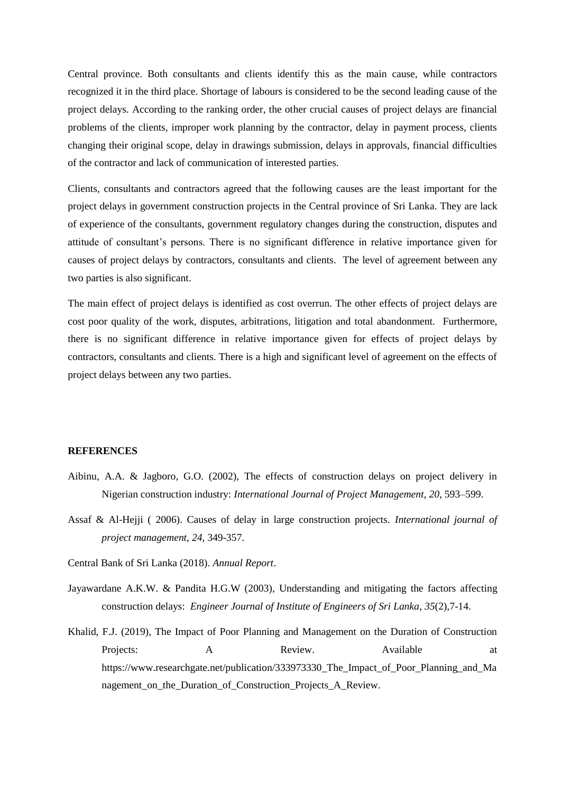Central province. Both consultants and clients identify this as the main cause, while contractors recognized it in the third place. Shortage of labours is considered to be the second leading cause of the project delays. According to the ranking order, the other crucial causes of project delays are financial problems of the clients, improper work planning by the contractor, delay in payment process, clients changing their original scope, delay in drawings submission, delays in approvals, financial difficulties of the contractor and lack of communication of interested parties.

Clients, consultants and contractors agreed that the following causes are the least important for the project delays in government construction projects in the Central province of Sri Lanka. They are lack of experience of the consultants, government regulatory changes during the construction, disputes and attitude of consultant's persons. There is no significant difference in relative importance given for causes of project delays by contractors, consultants and clients. The level of agreement between any two parties is also significant.

The main effect of project delays is identified as cost overrun. The other effects of project delays are cost poor quality of the work, disputes, arbitrations, litigation and total abandonment. Furthermore, there is no significant difference in relative importance given for effects of project delays by contractors, consultants and clients. There is a high and significant level of agreement on the effects of project delays between any two parties.

#### **REFERENCES**

- Aibinu, A.A. & Jagboro, G.O. (2002), The effects of construction delays on project delivery in Nigerian construction industry: *International Journal of Project Management, 20*, 593–599.
- Assaf & Al-Hejji ( 2006). Causes of delay in large construction projects. *International journal of project management, 24,* 349-357.
- Central Bank of Sri Lanka (2018). *Annual Report*.
- Jayawardane A.K.W. & Pandita H.G.W (2003), Understanding and mitigating the factors affecting construction delays: *Engineer Journal of Institute of Engineers of Sri Lanka*, *35*(2),7-14.
- Khalid, F.J. (2019), The Impact of Poor Planning and Management on the Duration of Construction Projects: A Review. Available at https://www.researchgate.net/publication/333973330 The Impact of Poor Planning and Ma nagement\_on\_the\_Duration\_of\_Construction\_Projects\_A\_Review.